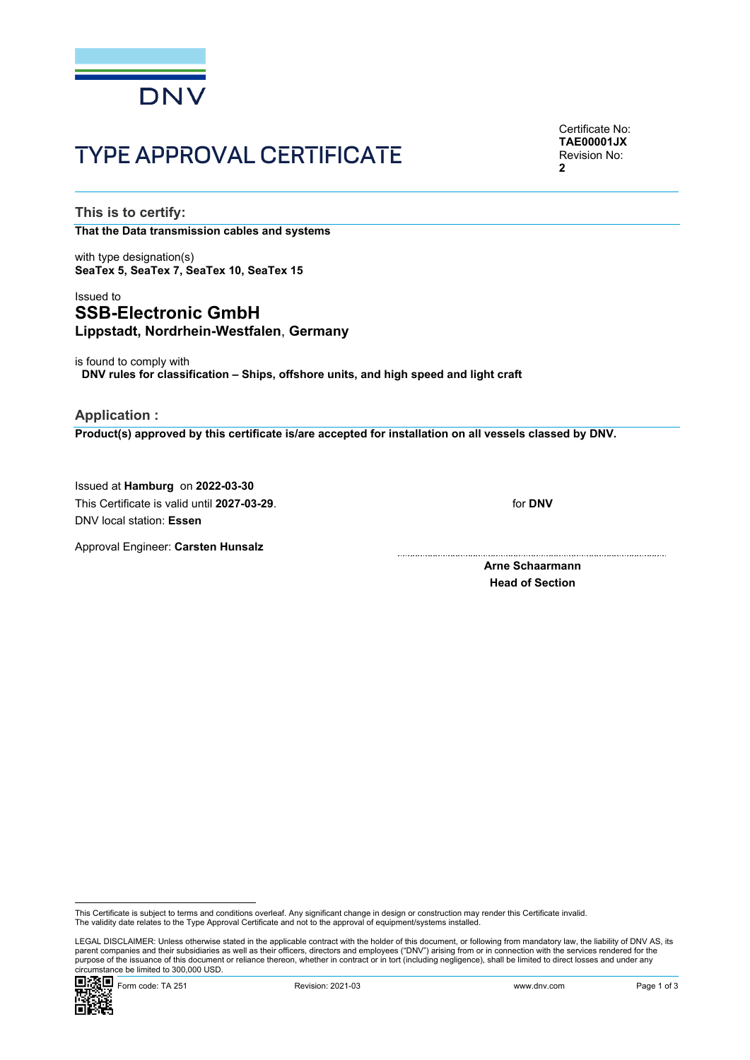

# TYPE APPROVAL CERTIFICATE

Certificate No: **TAE00001JX** Revision No: **2**

**This is to certify:**

**That the Data transmission cables and systems**

with type designation(s) **SeaTex 5, SeaTex 7, SeaTex 10, SeaTex 15**

# Issued to **SSB-Electronic GmbH Lippstadt, Nordrhein-Westfalen**, **Germany**

is found to comply with **DNV rules for classification – Ships, offshore units, and high speed and light craft**

**Application :**

**Product(s) approved by this certificate is/are accepted for installation on all vessels classed by DNV.**

Issued at **Hamburg** on **2022-03-30** This Certificate is valid until **2027-03-29**. DNV local station: **Essen**

for **DNV**

Approval Engineer: **Carsten Hunsalz**

**Arne Schaarmann Head of Section**

 LEGAL DISCLAIMER: Unless otherwise stated in the applicable contract with the holder of this document, or following from mandatory law, the liability of DNV AS, its parent companies and their subsidiaries as well as their officers, directors and employees ("DNV") arising from or in connection with the services rendered for the purpose of the issuance of this document or reliance thereon, whether in contract or in tort (including negligence), shall be limited to direct losses and under any circumstance be limited to 300,000 USD.



This Certificate is subject to terms and conditions overleaf. Any significant change in design or construction may render this Certificate invalid.<br>The validity date relates to the Type Approval Certificate and not to the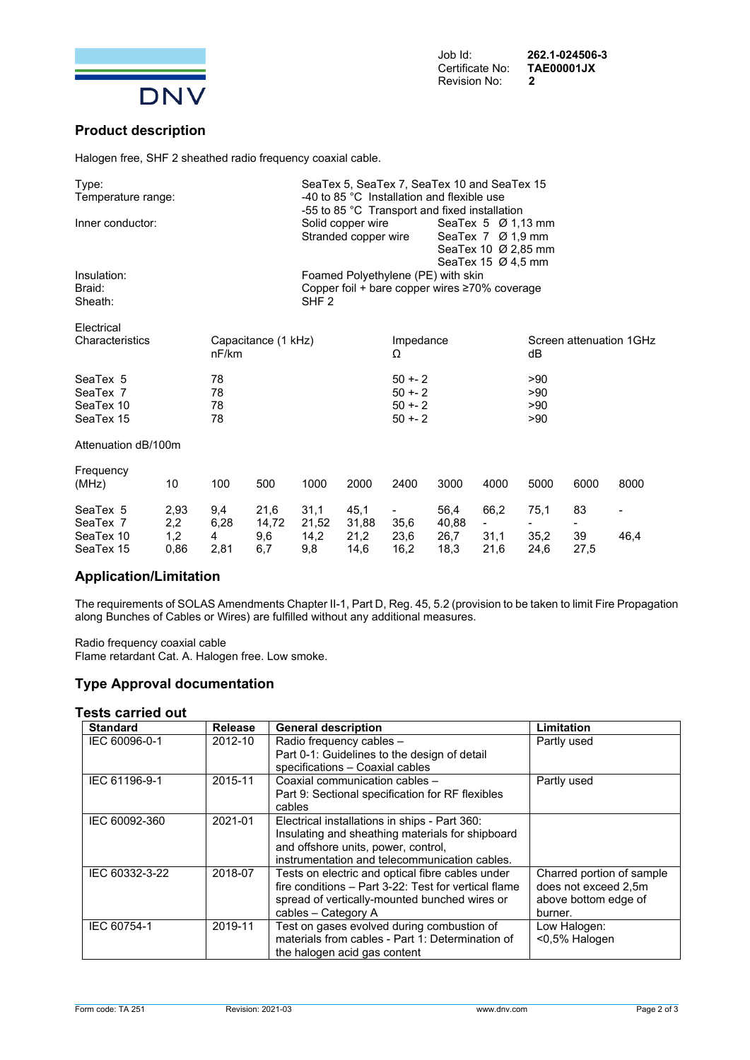

**Product description**

Halogen free, SHF 2 sheathed radio frequency coaxial cable.

| Type:<br>Temperature range:                    |                    |                              |                      | SeaTex 5, SeaTex 7, SeaTex 10 and SeaTex 15<br>-40 to 85 °C Installation and flexible use<br>-55 to 85 °C Transport and fixed installation        |                       |                                                 |                       |              |                               |          |      |  |
|------------------------------------------------|--------------------|------------------------------|----------------------|---------------------------------------------------------------------------------------------------------------------------------------------------|-----------------------|-------------------------------------------------|-----------------------|--------------|-------------------------------|----------|------|--|
| Inner conductor:                               |                    |                              |                      | Solid copper wire<br>SeaTex $5\,$ Ø 1,13 mm<br>Stranded copper wire<br>SeaTex 7 Ø 1,9 mm<br>SeaTex 10 Ø 2,85 mm<br>SeaTex 15 $\varnothing$ 4.5 mm |                       |                                                 |                       |              |                               |          |      |  |
| Insulation:<br>Braid:<br>Sheath:               |                    |                              |                      | Foamed Polyethylene (PE) with skin<br>Copper foil + bare copper wires $\geq 70\%$ coverage<br>SHF <sub>2</sub>                                    |                       |                                                 |                       |              |                               |          |      |  |
| Electrical<br>Characteristics                  |                    | Capacitance (1 kHz)<br>nF/km |                      |                                                                                                                                                   |                       | Impedance<br>Ω                                  |                       |              | Screen attenuation 1GHz<br>dB |          |      |  |
| SeaTex 5<br>SeaTex 7<br>SeaTex 10<br>SeaTex 15 |                    | 78<br>78<br>78<br>78         |                      |                                                                                                                                                   |                       | $50 + -2$<br>$50 + - 2$<br>$50 + 2$<br>$50 + 2$ |                       |              | >90<br>>90<br>>90<br>>90      |          |      |  |
| Attenuation dB/100m                            |                    |                              |                      |                                                                                                                                                   |                       |                                                 |                       |              |                               |          |      |  |
| Frequency<br>(MHz)                             | 10                 | 100                          | 500                  | 1000                                                                                                                                              | 2000                  | 2400                                            | 3000                  | 4000         | 5000                          | 6000     | 8000 |  |
| SeaTex 5<br>SeaTex 7<br>SeaTex 10              | 2,93<br>2,2<br>1,2 | 9,4<br>6,28<br>4             | 21,6<br>14,72<br>9,6 | 31,1<br>21,52<br>14,2                                                                                                                             | 45,1<br>31,88<br>21,2 | 35,6<br>23,6                                    | 56,4<br>40,88<br>26,7 | 66,2<br>31,1 | 75,1<br>35,2                  | 83<br>39 | 46,4 |  |

#### **Application/Limitation**

The requirements of SOLAS Amendments Chapter II-1, Part D, Reg. 45, 5.2 (provision to be taken to limit Fire Propagation along Bunches of Cables or Wires) are fulfilled without any additional measures.

SeaTex 15 0,86 2,81 6,7 9,8 14,6 16,2 18,3 21,6 24,6 27,5

Radio frequency coaxial cable Flame retardant Cat. A. Halogen free. Low smoke.

## **Type Approval documentation**

#### **Tests carried out**

| <b>Standard</b> | Release | <b>General description</b>                           | Limitation                |
|-----------------|---------|------------------------------------------------------|---------------------------|
| IEC 60096-0-1   | 2012-10 | Radio frequency cables -                             | Partly used               |
|                 |         | Part 0-1: Guidelines to the design of detail         |                           |
|                 |         | specifications - Coaxial cables                      |                           |
| IEC 61196-9-1   | 2015-11 | Coaxial communication cables -                       | Partly used               |
|                 |         | Part 9: Sectional specification for RF flexibles     |                           |
|                 |         | cables                                               |                           |
| IEC 60092-360   | 2021-01 | Electrical installations in ships - Part 360:        |                           |
|                 |         | Insulating and sheathing materials for shipboard     |                           |
|                 |         | and offshore units, power, control,                  |                           |
|                 |         | instrumentation and telecommunication cables.        |                           |
| IEC 60332-3-22  | 2018-07 | Tests on electric and optical fibre cables under     | Charred portion of sample |
|                 |         | fire conditions - Part 3-22: Test for vertical flame | does not exceed 2.5m      |
|                 |         | spread of vertically-mounted bunched wires or        | above bottom edge of      |
|                 |         | cables - Category A                                  | burner.                   |
| IEC 60754-1     | 2019-11 | Test on gases evolved during combustion of           | Low Halogen:              |
|                 |         | materials from cables - Part 1: Determination of     | <0,5% Halogen             |
|                 |         | the halogen acid gas content                         |                           |